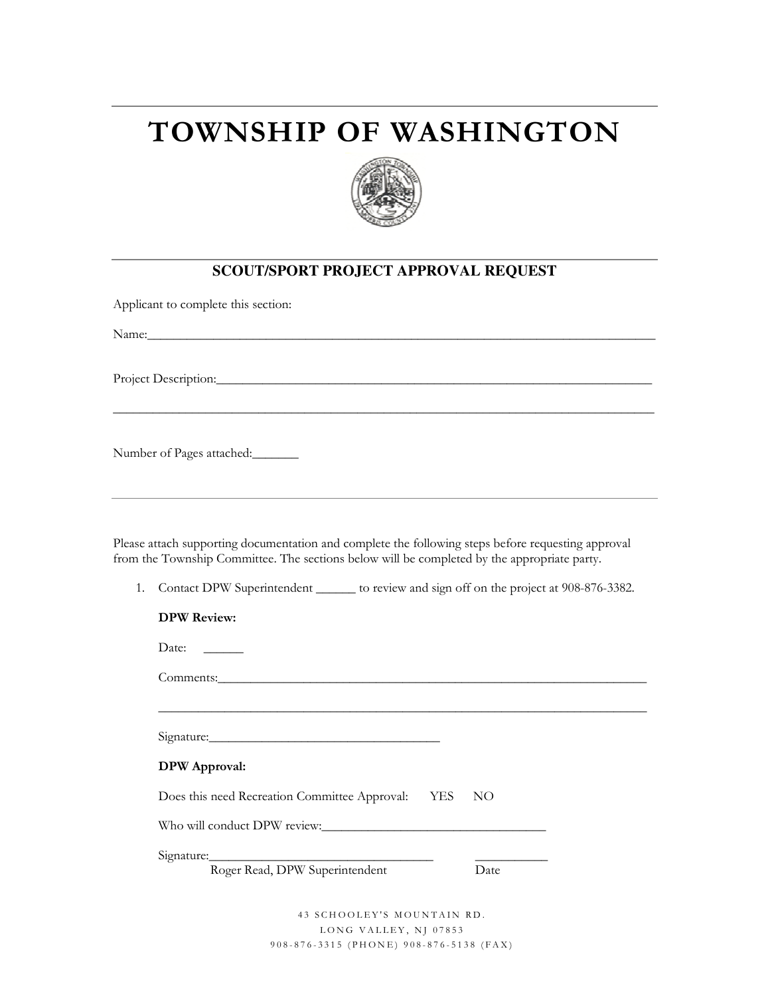## **TOWNSHIP OF WASHINGTON**



## **SCOUT/SPORT PROJECT APPROVAL REQUEST**

\_\_\_\_\_\_\_\_\_\_\_\_\_\_\_\_\_\_\_\_\_\_\_\_\_\_\_\_\_\_\_\_\_\_\_\_\_\_\_\_\_\_\_\_\_\_\_\_\_\_\_\_\_\_\_\_\_\_\_\_\_\_\_\_\_\_\_\_\_\_\_\_\_\_\_\_\_\_\_\_\_\_

Applicant to complete this section:

Name:

Project Description:\_\_\_\_\_\_\_\_\_\_\_\_\_\_\_\_\_\_\_\_\_\_\_\_\_\_\_\_\_\_\_\_\_\_\_\_\_\_\_\_\_\_\_\_\_\_\_\_\_\_\_\_\_\_\_\_\_\_\_\_\_\_\_\_\_\_

Number of Pages attached:\_\_\_\_\_\_\_

Please attach supporting documentation and complete the following steps before requesting approval from the Township Committee. The sections below will be completed by the appropriate party.

1. Contact DPW Superintendent \_\_\_\_\_\_\_ to review and sign off on the project at 908-876-3382.

| <b>DPW Review:</b>                                   |      |
|------------------------------------------------------|------|
| Date:                                                |      |
|                                                      |      |
|                                                      |      |
| Signature:                                           |      |
| <b>DPW</b> Approval:                                 |      |
| Does this need Recreation Committee Approval: YES NO |      |
| Who will conduct DPW review:                         |      |
|                                                      |      |
| Roger Read, DPW Superintendent                       | Date |
|                                                      |      |

43 SCHOOLEY'S MOUNTAIN RD. LONG VALLEY, NJ 07853 9 0 8 - 8 7 6 - 3 3 1 5 ( P H O N E ) 9 0 8 - 8 7 6 - 5 1 3 8 ( F A X )